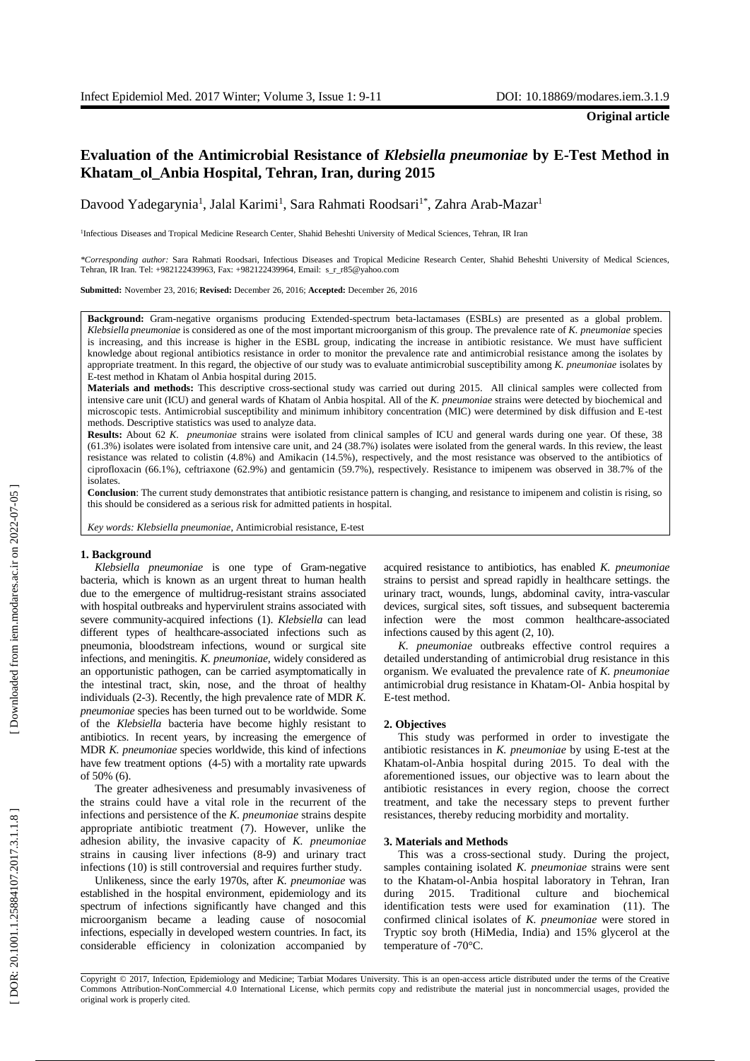# **Evaluation of the Antimicrobial Resistance of** *Klebsiella pneumoniae* **by E -Test Method in Khatam\_ol\_Anbia Hospital, Tehran, Iran, during 2015**

Davood Yadegarynia<sup>1</sup>, Jalal Karimi<sup>1</sup>, Sara Rahmati Roodsari<sup>1\*</sup>, Zahra Arab-Mazar<sup>1</sup>

<sup>1</sup>Infectious Diseases and Tropical Medicine Research Center, Shahid Beheshti University of Medical Sciences, Tehran, IR Iran

*\*Corresponding author:* Sara Rahmati Roodsari, Infectious Diseases and Tropical Medicine Research Center, Shahid Beheshti University of Medical Sciences, Tehran, IR Iran. Tel: +982122439963, Fax: +982122439964, Email: s\_r\_r85@yahoo.com

**Submitted:** November 23, 2016; **Revised:** December 26, 2016; **Accepted:** December 26 , 2016

Background: Gram-negative organisms producing Extended-spectrum beta-lactamases (ESBLs) are presented as a global problem. *Klebsiella pneumoniae* is considered as one of the most important microorganism of this group. The prevalence rate of *K. pneumoniae* species is increasing , and this increase is higher in the ESBL group, indicating the increase in antibiotic resistance. We must have sufficient knowledge about regional antibiotics resistance in order to monitor the prevalence rate and antimicrobial resistance among the isolate s by appropriate treatment. In this regard, the objective of our study was to evaluate antimicrobial susceptibility among *K. pneumoniae* isolates by E -test method in Khatam ol Anbia hospital during 2015 .

**Materials and methods:** This descriptive cross -sectional study was carried out during 2015. All clinical samples were collected from intensive care unit (ICU) and general wards of Khatam ol Anbia hospital. All of the *K. pneumoniae* strains were detected by biochemical and microscopic tests. Antimicrobial susceptibility and minimum inhibitory concentration (MIC) were determined by disk diffusion and E -test methods. Descriptive statistics was used to analyze data.

Results: About 62 K. pneumoniae strains were isolated from clinical samples of ICU and general wards during one year. Of these, 38 (61.3 %) isolates were isolated from intensive care unit , and 24 (38.7 %) isolates were isolated from the general wards . In this review, the least resistance was related to colistin (4.8%) and Amikacin (14.5%), respectively, and the most resistance was observed to the antibiotics of ciprofloxacin (66.1%), ceftriaxone (62.9%) and gentamicin (59.7%), respectively . Resistance to imipenem was observed in 38.7% of the isolates .

**Conclusion**: The current study demonstrates that antibiotic resistance pattern is changing , and resistance to imipenem and colistin is rising, so this should be considered as a serious risk for admitted patients in hospital.

*Key words: Klebsiella pneumoniae*, Antimicrobial resistance, E -test

#### **1. Background**

*Klebsiella pneumoniae* is one type of Gram -negative bacteria , which is known as an urgent threat to human health due to the emergence of multidrug-resistant strains associated with hospital outbreaks and hypervirulent strains associated with severe community-acquired infections (1). *Klebsiella* can lead different types of healthcare -associated infections such as pneumonia, bloodstream infections, wound or surgical site infections, and meningitis. *K. pneumoniae,* widely considered as an opportunistic pathogen, can be carried asymptomatically in the intestinal tract, skin, nose, and the throat of healthy individuals ( 2 - 3 ). Recently, the high prevalence rate of MDR *K. pneumoniae* species has been turned out to be worldwide. Some of the *Klebsiella* bacteria have become highly resistant to antibiotics. In recent years, by increasing the emergence of MDR *K. pneumoniae* species worldwide , this kind of infections have few treatment options  $(4-5)$  with a mortality rate upwards of 50% (6).

The greater adhesiveness and presumably invasiveness of the strains could have a vital role in the recurrent of the infections and persistence of the *K. pneumoniae* strains despite appropriate antibiotic treatment ( 7 ). However, unlike the adhesion ability, the invasive capacity of *K. pneumoniae* strains in causing liver infections ( 8 - 9 ) and urinary tract infections (10 ) is still controversial and requires further study.

Unlikeness, since the early 1970s, after *K. pneumoniae* was established in the hospital environment, epidemiology and its spectrum of infections significantly have changed and this microorganism became a leading cause of nosocomial infections, especially in developed western countries. In fact, its considerable efficiency in colonization accompanied by

acquired resistance to antibiotics, has enabled *K. pneumoniae* strains to persist and spread rapidly in healthcare settings . the urinary tract, wounds, lungs, abdominal cavity, intra -vascular devices, surgical sites, soft tissues, and subsequent bacteremia infection were the most common healthcare -associated infections caused by this agent  $(2, 10)$ .

*K. pneumoniae* outbreaks effective control requires a detailed understanding of antimicrobial drug resistance in this organism. We evaluated the prevalence rate of *K. pneumoniae* antimicrobial drug resistance in Khatam -Ol - Anbia hospital by E -test method.

## **2. Objectives**

This study was performed in order to investigate the antibiotic resistances in *K. pneumoniae* by using E -test at the Khatam -ol -Anbia hospital during 2015. To deal with the aforementioned issues, our objective was to learn about the antibiotic resistances in every region, choose the correct treatment, and take the necessary steps to prevent further resistances, thereby reducing morbidity and mortality.

## **3. Materials and Methods**

This was a cross -sectional study. During the project, samples containing isolated *K. pneumoniae* strains were sent to the Khatam -ol -Anbia hospital laboratory in Tehran, Iran during 2015. Traditional culture and biochemical identification tests were used for examination (11 ). The confirmed clinical isolates of *K. pneumoniae* were stored in Tryptic soy broth (HiMedia, India) and 15% glycerol at the temperature of -70°C.

Copyright © 2017, Infection, Epidemiology and Medicine; Tarbiat Modares University. This is an open -access article distributed under the terms of the Creative Commons Attribution -NonCommercial 4.0 International License, which permits copy and redistribute the material just in noncommercial usages, provided the original work is properly cited .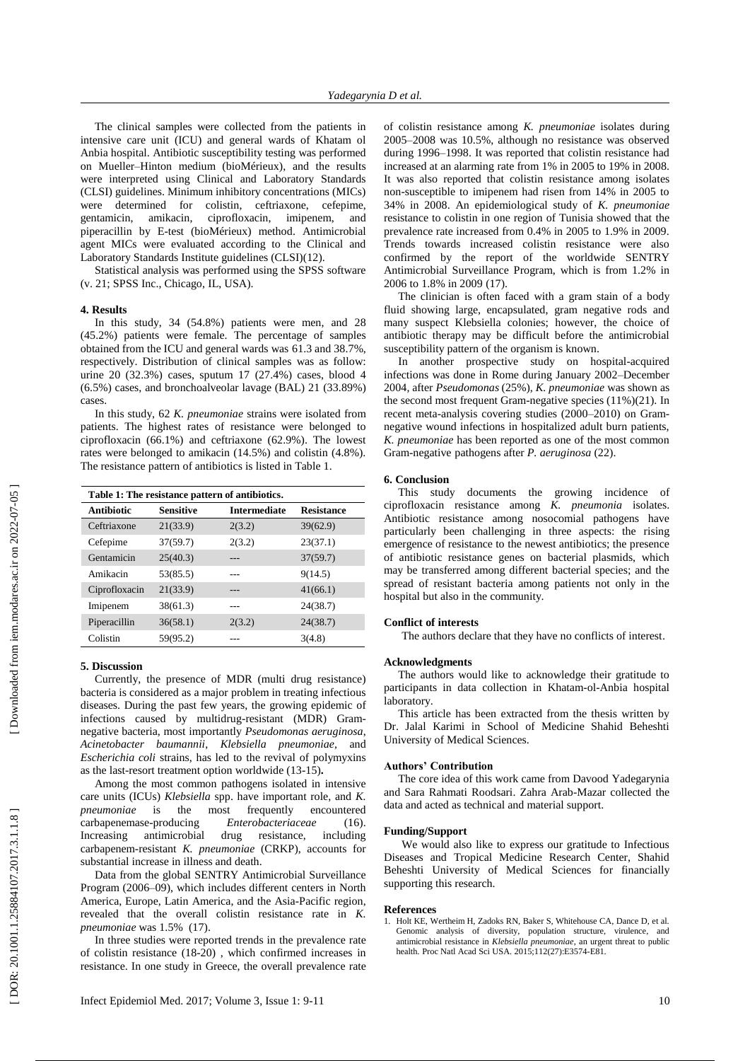The clinical samples were collected from the patients in intensive care unit (ICU) and general wards of Khatam ol Anbia hospital. Antibiotic susceptibility testing was performed on Mueller–Hinton medium (bioMérieux) , and the results were interpreted using Clinical and Laboratory Standards (CLSI) guidelines. Minimum inhibitory concentrations (MICs) were determined for colistin, ceftriaxone, cefepime, gentamicin, amikacin, ciprofloxacin, imipenem , and piperacillin by E -test (bioMérieux) method . Antimicrobial agent MICs were evaluated according to the Clinical and Laboratory Standards Institute guidelines (CLSI)(12).

Statistical analysis was performed using the SPSS software (v. 21; SPSS Inc., Chicago, IL, USA).

# **4. Result s**

In this study, 34 (54. 8%) patients were men , and 2 8 (45. 2%) patients were female. The percentage of samples obtained from the ICU and general wards was 61.3 and 38.7%, respectively. Distribution of clinical samples was as follow: urine 2 0 (32.3%) cases, sputum 17 (27.4%) cases, blood 4 (6.5%) cases, and bronchoalveolar lavage (BAL) 2 1 (3 3.8 9%) cases .

In this study, 62 *K. pneumoniae* strains were isolated from patients. The highest rates of resistance were belonged to ciprofloxacin (66.1%) and ceftriaxone (62.9%). The lowest rate s were belonged to amikacin (14.5%) and colistin (4.8%). The resistance pattern of antibiotics is listed in Table 1.

| Table 1: The resistance pattern of antibiotics. |                  |                     |                   |
|-------------------------------------------------|------------------|---------------------|-------------------|
| Antibiotic                                      | <b>Sensitive</b> | <b>Intermediate</b> | <b>Resistance</b> |
| Ceftriaxone                                     | 21(33.9)         | 2(3.2)              | 39(62.9)          |
| Cefepime                                        | 37(59.7)         | 2(3.2)              | 23(37.1)          |
| Gentamicin                                      | 25(40.3)         |                     | 37(59.7)          |
| Amikacin                                        | 53(85.5)         |                     | 9(14.5)           |
| Ciprofloxacin                                   | 21(33.9)         |                     | 41(66.1)          |
| Imipenem                                        | 38(61.3)         |                     | 24(38.7)          |
| Piperacillin                                    | 36(58.1)         | 2(3.2)              | 24(38.7)          |
| Colistin                                        | 59(95.2)         |                     | 3(4.8)            |

# **5. Discussion**

Currently, the presence of MDR (multi drug resistance) bacteria is considered as a major problem in treating infectious diseases. During the past few years, the growing epidemic of infections caused by multidrug-resistant (MDR) Gramnegative bacteria, most importantly *Pseudomonas aeruginosa*, *Acinetobacter baumannii*, *Klebsiella pneumoniae*, and *Escherichia coli* strains, has led to the revival of polymyxins as the last-resort treatment option worldwide (13-15).

Among the most common pathogens isolated in intensive care units (ICUs) *Klebsiella* spp. have important role, and *K. pneumoniae* is the most frequently encountered carbapenemase  $Enterobacteriaceae$ (16 ). Increasing antimicrobial drug resistance, including carbapenem -resistant *K. pneumoniae* (CRKP), accounts for substantial increase in illness and death.

Data from the global SENTRY Antimicrobial Surveillance Program (2006-09), which includes different centers in North America, Europe, Latin America , and the Asia -Pacific region, revealed that the overall colistin resistance rate in *K. pneumoniae* was 1.5% (17 ) .

In three studies were reported trends in the prevalence rate of colistin resistance (18 -20 ) , which confirmed increases in resistance. In one study in Greece, the overall prevalence rate

of colistin resistance among *K. pneumoniae* isolates during 2005 –2008 was 10.5%, although no resistance was observed during 1996 –1998. It was reported that colistin resistance had increased at an alarming rate from 1% in 2005 to 19% in 2008. It was also reported that colistin resistance among isolates non -susceptible to imipenem had risen from 14% in 2005 to 34% in 2008. An epidemiological study of *K. pneumoniae* resistance to colistin in one region of Tunisia showed that the prevalence rate increased from 0.4% in 2005 to 1.9% in 2009. Trends towards increased colistin resistance were also confirmed by the report of the worldwide SENTRY Antimicrobial Surveillance Program, which is from 1.2% in 2006 to 1.8% in 2009 (17).

The clinician is often faced with a gram stain of a body fluid showing large, encapsulated, gram negative rods and many suspect Klebsiella colonies; however, the choice of antibiotic therapy may be difficult before the antimicrobial susceptibility pattern of the organism is known.

In another prospective study on hospital -acquired infections was done in Rome during January 2002 –December 2004, after *Pseudomonas* (25%), *K. pneumoniae* was shown as the second most frequent Gram -negative species (11%) (21 ). In recent meta -analysis covering studies (2000 –2010) on Gram negative wound infections in hospitalized adult burn patients, *K. pneumoniae* has been reported as one of the most common Gram -negative pathogens after *P. aeruginosa* (22 ).

# **6. Conclusion**

This study documents the growing incidence of ciprofloxacin resistance among *K. pneumonia* isolates. Antibiotic resistance among nosocomial pathogens have particularly been challenging in three aspects: the rising emergence of resistance to the newest antibiotics; the presence of antibiotic resistance genes on bacterial plasmids, which may be transferred among different bacterial species; and the spread of resistant bacteria among patients not only in the hospital but also in the community.

#### **Conflict of interests**

The authors declare that they have no conflicts of interest .

# **Acknowledgments**

The authors would like to acknowledge their gratitude to participants in data collection in Khatam-ol-Anbia hospital laboratory.

This article has been extracted from the thesis written by Dr. Jalal Karimi in School of Medicine Shahid Beheshti University of Medical Sciences.

## **Authors' Contribution**

The core idea of this work came from Davood Yadegarynia and Sara Rahmati Roodsari. Zahra Arab -Mazar collected the data and acted as technical and material support.

#### **Funding/Support**

We would also like to express our gratitude to Infectious Diseases and Tropical Medicine Research Center, Shahid Beheshti University of Medical Sciences for financially supporting this research.

### **References**

1. Holt KE, Wertheim H, Zadoks RN, Baker S, Whitehouse CA, Dance D, et al. Genomic analysis of diversity, population structure, virulence, and antimicrobial resistance in *Klebsiella pneumoniae*, an urgent threat to public health. Proc Natl Acad Sci USA. 2015;112(27):E3574 -E81.